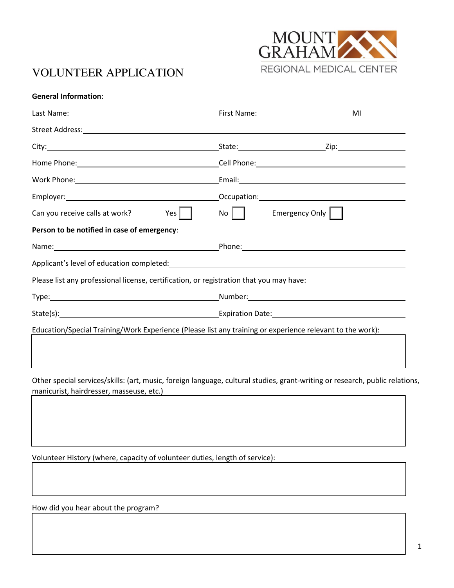

# VOLUNTEER APPLICATION

| Yes $\vert$<br>Can you receive calls at work?                                                             | $\mathsf{No}$ | Emergency Only |  |
|-----------------------------------------------------------------------------------------------------------|---------------|----------------|--|
| Person to be notified in case of emergency:                                                               |               |                |  |
|                                                                                                           |               |                |  |
|                                                                                                           |               |                |  |
| Please list any professional license, certification, or registration that you may have:                   |               |                |  |
|                                                                                                           |               |                |  |
|                                                                                                           |               |                |  |
| Education/Special Training/Work Experience (Please list any training or experience relevant to the work): |               |                |  |

Other special services/skills: (art, music, foreign language, cultural studies, grant-writing or research, public relations, manicurist, hairdresser, masseuse, etc.)

Volunteer History (where, capacity of volunteer duties, length of service):

How did you hear about the program?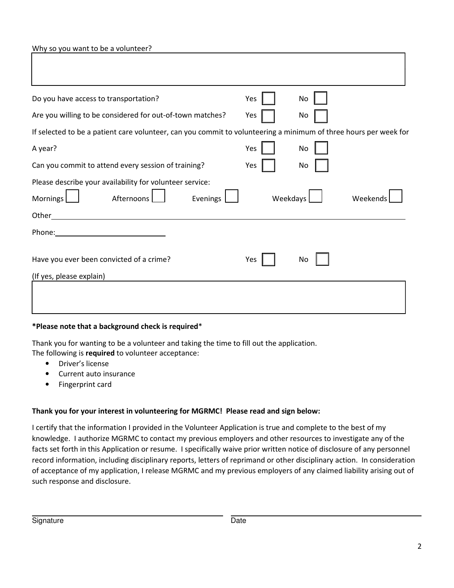Why so you want to be a volunteer?

| Do you have access to transportation?                                                                                                                                                                                          | Yes      | No       |  |  |
|--------------------------------------------------------------------------------------------------------------------------------------------------------------------------------------------------------------------------------|----------|----------|--|--|
| Are you willing to be considered for out-of-town matches?                                                                                                                                                                      | Yes      | No       |  |  |
| If selected to be a patient care volunteer, can you commit to volunteering a minimum of three hours per week for                                                                                                               |          |          |  |  |
| A year?                                                                                                                                                                                                                        | Yes      | No       |  |  |
| Can you commit to attend every session of training?                                                                                                                                                                            | Yes      | No       |  |  |
| Please describe your availability for volunteer service:<br>Afternoons<br>Evenings<br>Mornings                                                                                                                                 | Weekdays | Weekends |  |  |
| Other<br><u> 1989 - Johann John Stein, fransk politik (f. 1989)</u>                                                                                                                                                            |          |          |  |  |
| Phone: The contract of the contract of the contract of the contract of the contract of the contract of the contract of the contract of the contract of the contract of the contract of the contract of the contract of the con |          |          |  |  |
| Have you ever been convicted of a crime?                                                                                                                                                                                       | Yes      | No       |  |  |
| (If yes, please explain)                                                                                                                                                                                                       |          |          |  |  |
|                                                                                                                                                                                                                                |          |          |  |  |

#### \*Please note that a background check is required\*

Thank you for wanting to be a volunteer and taking the time to fill out the application. The following is required to volunteer acceptance:

- Driver's license
- Current auto insurance
- Fingerprint card

#### Thank you for your interest in volunteering for MGRMC! Please read and sign below:

I certify that the information I provided in the Volunteer Application is true and complete to the best of my knowledge. I authorize MGRMC to contact my previous employers and other resources to investigate any of the facts set forth in this Application or resume. I specifically waive prior written notice of disclosure of any personnel record information, including disciplinary reports, letters of reprimand or other disciplinary action. In consideration of acceptance of my application, I release MGRMC and my previous employers of any claimed liability arising out of such response and disclosure.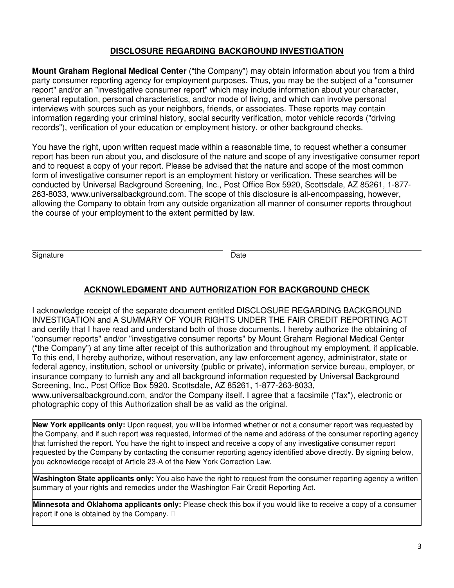#### **DISCLOSURE REGARDING BACKGROUND INVESTIGATION**

**Mount Graham Regional Medical Center** ("the Company") may obtain information about you from a third party consumer reporting agency for employment purposes. Thus, you may be the subject of a "consumer report" and/or an "investigative consumer report" which may include information about your character, general reputation, personal characteristics, and/or mode of living, and which can involve personal interviews with sources such as your neighbors, friends, or associates. These reports may contain information regarding your criminal history, social security verification, motor vehicle records ("driving records"), verification of your education or employment history, or other background checks.

You have the right, upon written request made within a reasonable time, to request whether a consumer report has been run about you, and disclosure of the nature and scope of any investigative consumer report and to request a copy of your report. Please be advised that the nature and scope of the most common form of investigative consumer report is an employment history or verification. These searches will be conducted by Universal Background Screening, Inc., Post Office Box 5920, Scottsdale, AZ 85261, 1-877- 263-8033, www.universalbackground.com. The scope of this disclosure is all-encompassing, however, allowing the Company to obtain from any outside organization all manner of consumer reports throughout the course of your employment to the extent permitted by law.

Signature Date **Date** 

### **ACKNOWLEDGMENT AND AUTHORIZATION FOR BACKGROUND CHECK**

I acknowledge receipt of the separate document entitled DISCLOSURE REGARDING BACKGROUND INVESTIGATION and A SUMMARY OF YOUR RIGHTS UNDER THE FAIR CREDIT REPORTING ACT and certify that I have read and understand both of those documents. I hereby authorize the obtaining of "consumer reports" and/or "investigative consumer reports" by Mount Graham Regional Medical Center ("the Company") at any time after receipt of this authorization and throughout my employment, if applicable. To this end, I hereby authorize, without reservation, any law enforcement agency, administrator, state or federal agency, institution, school or university (public or private), information service bureau, employer, or insurance company to furnish any and all background information requested by Universal Background Screening, Inc., Post Office Box 5920, Scottsdale, AZ 85261, 1-877-263-8033,

www.universalbackground.com, and/or the Company itself. I agree that a facsimile ("fax"), electronic or photographic copy of this Authorization shall be as valid as the original.

**New York applicants only:** Upon request, you will be informed whether or not a consumer report was requested by the Company, and if such report was requested, informed of the name and address of the consumer reporting agency that furnished the report. You have the right to inspect and receive a copy of any investigative consumer report requested by the Company by contacting the consumer reporting agency identified above directly. By signing below, you acknowledge receipt of Article 23-A of the New York Correction Law.

**Washington State applicants only:** You also have the right to request from the consumer reporting agency a written summary of your rights and remedies under the Washington Fair Credit Reporting Act.

**Minnesota and Oklahoma applicants only:** Please check this box if you would like to receive a copy of a consumer report if one is obtained by the Company.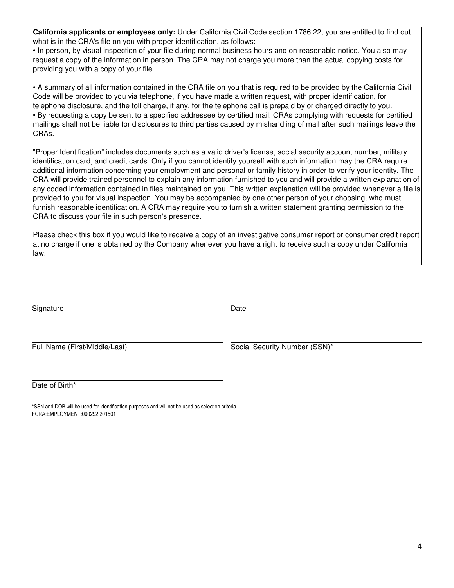**California applicants or employees only:** Under California Civil Code section 1786.22, you are entitled to find out what is in the CRA's file on you with proper identification, as follows:

• In person, by visual inspection of your file during normal business hours and on reasonable notice. You also may request a copy of the information in person. The CRA may not charge you more than the actual copying costs for providing you with a copy of your file.

• A summary of all information contained in the CRA file on you that is required to be provided by the California Civil Code will be provided to you via telephone, if you have made a written request, with proper identification, for telephone disclosure, and the toll charge, if any, for the telephone call is prepaid by or charged directly to you. • By requesting a copy be sent to a specified addressee by certified mail. CRAs complying with requests for certified mailings shall not be liable for disclosures to third parties caused by mishandling of mail after such mailings leave the CRAs.

"Proper Identification" includes documents such as a valid driver's license, social security account number, military identification card, and credit cards. Only if you cannot identify yourself with such information may the CRA require additional information concerning your employment and personal or family history in order to verify your identity. The CRA will provide trained personnel to explain any information furnished to you and will provide a written explanation of any coded information contained in files maintained on you. This written explanation will be provided whenever a file is provided to you for visual inspection. You may be accompanied by one other person of your choosing, who must furnish reasonable identification. A CRA may require you to furnish a written statement granting permission to the CRA to discuss your file in such person's presence.

Please check this box if you would like to receive a copy of an investigative consumer report or consumer credit report at no charge if one is obtained by the Company whenever you have a right to receive such a copy under California law.

Signature Date

Full Name (First/Middle/Last) The Social Security Number (SSN)\*

Date of Birth\*

\*SSN and DOB will be used for identification purposes and will not be used as selection criteria. FCRA:EMPLOYMENT:000292:201501